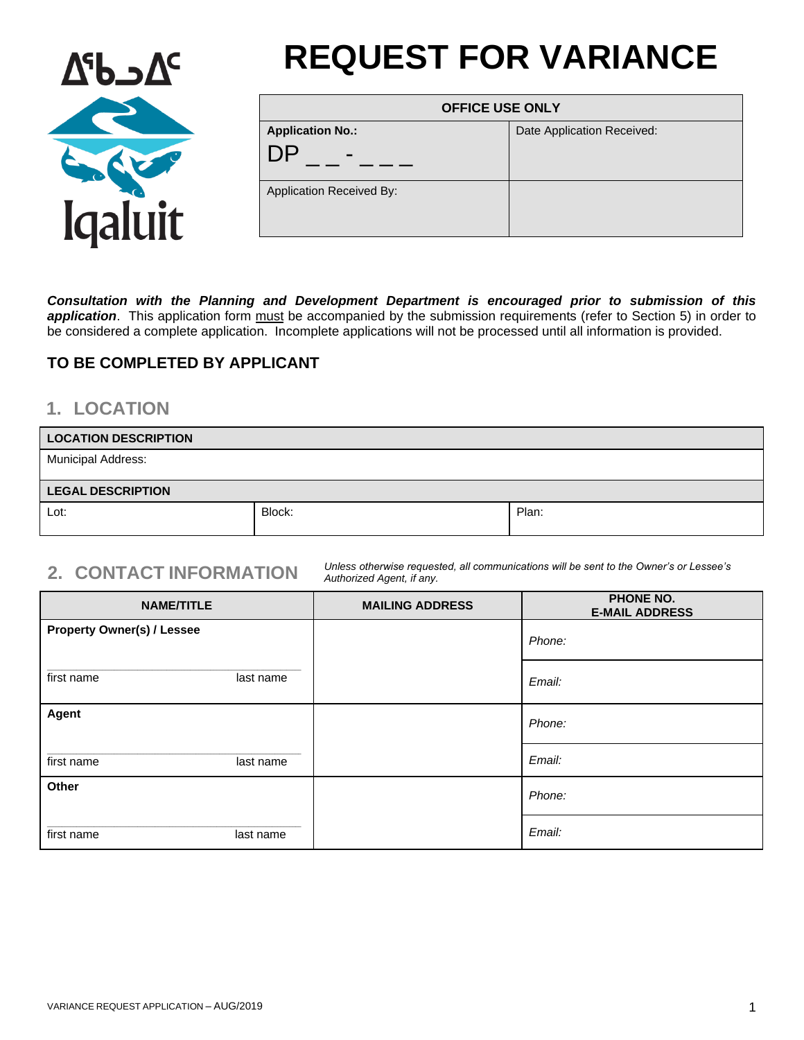

# **REQUEST FOR VARIANCE**

| <b>OFFICE USE ONLY</b>                                    |                            |
|-----------------------------------------------------------|----------------------------|
| <b>Application No.:</b><br>DP<br>$\overline{\phantom{a}}$ | Date Application Received: |
| <b>Application Received By:</b>                           |                            |

*Consultation with the Planning and Development Department is encouraged prior to submission of this*  application. This application form must be accompanied by the submission requirements (refer to Section 5) in order to be considered a complete application. Incomplete applications will not be processed until all information is provided.

## **TO BE COMPLETED BY APPLICANT**

# **1. LOCATION**

| <b>LOCATION DESCRIPTION</b> |        |       |
|-----------------------------|--------|-------|
| <b>Municipal Address:</b>   |        |       |
| <b>LEGAL DESCRIPTION</b>    |        |       |
| Lot:                        | Block: | Plan: |

**2. CONTACT INFORMATION** *Unless otherwise requested, all communications will be sent to the Owner's or Lessee's Authorized Agent, if any.*

| <b>NAME/TITLE</b>                 | <b>MAILING ADDRESS</b> | PHONE NO.<br><b>E-MAIL ADDRESS</b> |
|-----------------------------------|------------------------|------------------------------------|
| <b>Property Owner(s) / Lessee</b> |                        | Phone:                             |
| first name<br>last name           |                        | Email:                             |
| Agent                             |                        | Phone:                             |
| first name<br>last name           |                        | Email:                             |
| Other                             |                        | Phone:                             |
| first name<br>last name           |                        | Email:                             |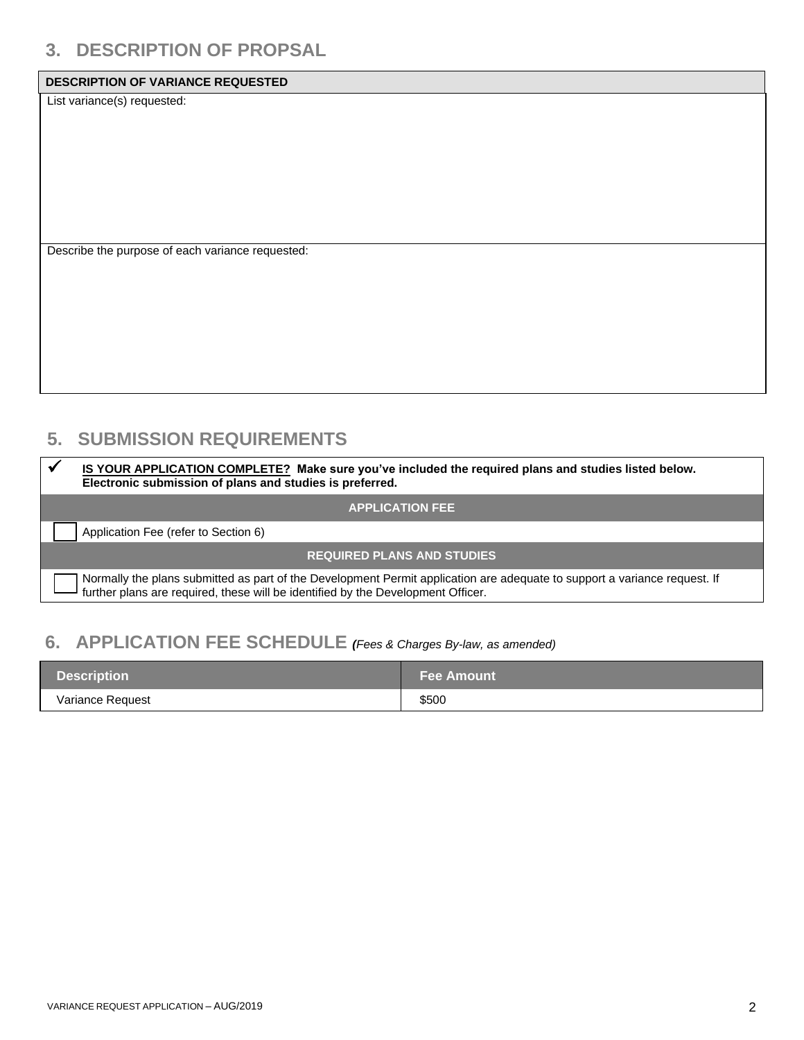# **3. DESCRIPTION OF PROPSAL**

### **DESCRIPTION OF VARIANCE REQUESTED**

List variance(s) requested:

Describe the purpose of each variance requested:

# **5. SUBMISSION REQUIREMENTS**

| IS YOUR APPLICATION COMPLETE? Make sure you've included the required plans and studies listed below.<br>Electronic submission of plans and studies is preferred.                                              |
|---------------------------------------------------------------------------------------------------------------------------------------------------------------------------------------------------------------|
| <b>APPLICATION FEE</b>                                                                                                                                                                                        |
| Application Fee (refer to Section 6)                                                                                                                                                                          |
| <b>REQUIRED PLANS AND STUDIES</b>                                                                                                                                                                             |
| Normally the plans submitted as part of the Development Permit application are adequate to support a variance request. If<br>further plans are required, these will be identified by the Development Officer. |

# **6. APPLICATION FEE SCHEDULE** *(Fees & Charges By-law, as amended)*

| <b>Description</b> | <b>Fee Amount</b> |
|--------------------|-------------------|
| Variance Request   | \$500             |